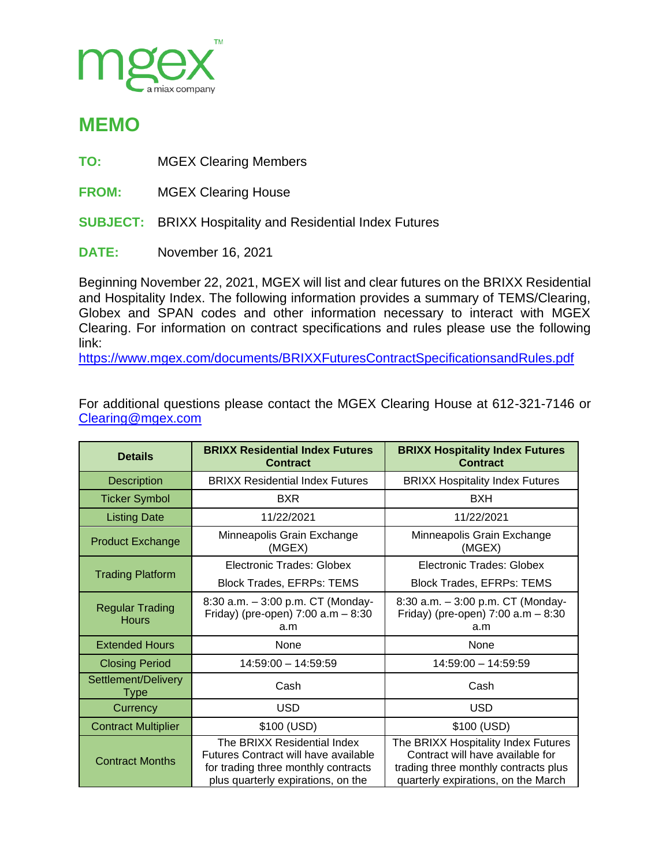

## **MEMO**

**TO:** MGEX Clearing Members

**FROM:** MGEX Clearing House

**SUBJECT:** BRIXX Hospitality and Residential Index Futures

**DATE:** November 16, 2021

Beginning November 22, 2021, MGEX will list and clear futures on the BRIXX Residential and Hospitality Index. The following information provides a summary of TEMS/Clearing, Globex and SPAN codes and other information necessary to interact with MGEX Clearing. For information on contract specifications and rules please use the following link:

<https://www.mgex.com/documents/BRIXXFuturesContractSpecificationsandRules.pdf>

For additional questions please contact the MGEX Clearing House at 612-321-7146 or [Clearing@mgex.com](mailto:Clearing@mgex.com)

| <b>Details</b>                         | <b>BRIXX Residential Index Futures</b><br><b>Contract</b>                                                                                        | <b>BRIXX Hospitality Index Futures</b><br><b>Contract</b>                                                                                              |
|----------------------------------------|--------------------------------------------------------------------------------------------------------------------------------------------------|--------------------------------------------------------------------------------------------------------------------------------------------------------|
| <b>Description</b>                     | <b>BRIXX Residential Index Futures</b>                                                                                                           | <b>BRIXX Hospitality Index Futures</b>                                                                                                                 |
| <b>Ticker Symbol</b>                   | <b>BXR</b>                                                                                                                                       | <b>BXH</b>                                                                                                                                             |
| <b>Listing Date</b>                    | 11/22/2021                                                                                                                                       | 11/22/2021                                                                                                                                             |
| <b>Product Exchange</b>                | Minneapolis Grain Exchange<br>(MGEX)                                                                                                             | Minneapolis Grain Exchange<br>(MGEX)                                                                                                                   |
| <b>Trading Platform</b>                | Electronic Trades: Globex                                                                                                                        | Electronic Trades: Globex                                                                                                                              |
|                                        | <b>Block Trades, EFRPs: TEMS</b>                                                                                                                 | Block Trades, EFRPs: TEMS                                                                                                                              |
| <b>Regular Trading</b><br><b>Hours</b> | 8:30 a.m. - 3:00 p.m. CT (Monday-<br>Friday) (pre-open) $7:00$ a.m $-8:30$<br>a.m                                                                | 8:30 a.m. - 3:00 p.m. CT (Monday-<br>Friday) (pre-open) $7:00$ a.m $-8:30$<br>a.m                                                                      |
| <b>Extended Hours</b>                  | None                                                                                                                                             | None                                                                                                                                                   |
| <b>Closing Period</b>                  | $14:59:00 - 14:59:59$                                                                                                                            | $14:59:00 - 14:59:59$                                                                                                                                  |
| Settlement/Delivery<br>Type            | Cash                                                                                                                                             | Cash                                                                                                                                                   |
| Currency                               | <b>USD</b>                                                                                                                                       | <b>USD</b>                                                                                                                                             |
| <b>Contract Multiplier</b>             | \$100 (USD)                                                                                                                                      | \$100 (USD)                                                                                                                                            |
| <b>Contract Months</b>                 | The BRIXX Residential Index<br>Futures Contract will have available<br>for trading three monthly contracts<br>plus quarterly expirations, on the | The BRIXX Hospitality Index Futures<br>Contract will have available for<br>trading three monthly contracts plus<br>quarterly expirations, on the March |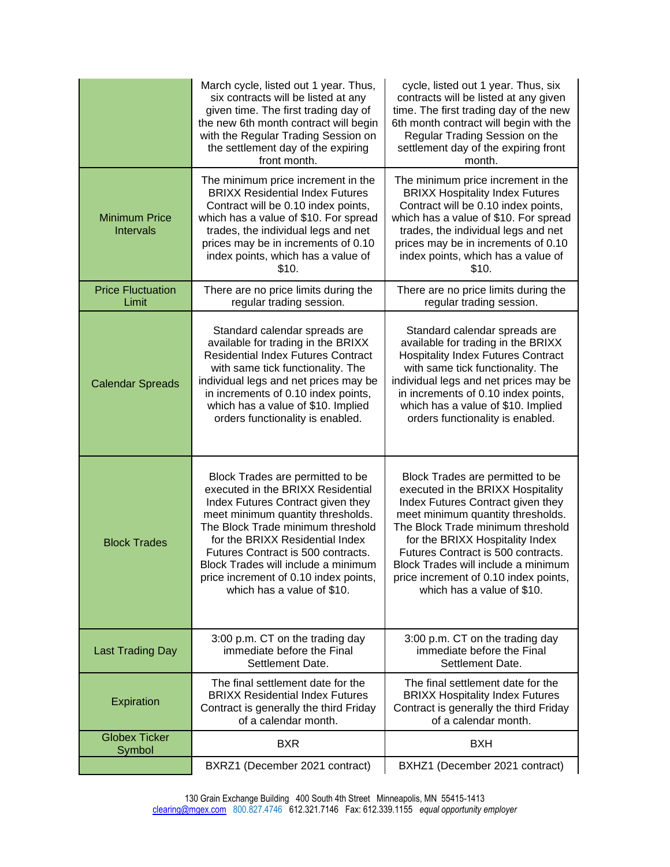|                                          | March cycle, listed out 1 year. Thus,<br>six contracts will be listed at any<br>given time. The first trading day of<br>the new 6th month contract will begin<br>with the Regular Trading Session on<br>the settlement day of the expiring<br>front month.                                                                                                                  | cycle, listed out 1 year. Thus, six<br>contracts will be listed at any given<br>time. The first trading day of the new<br>6th month contract will begin with the<br>Regular Trading Session on the<br>settlement day of the expiring front<br>month.                                                                                                                        |
|------------------------------------------|-----------------------------------------------------------------------------------------------------------------------------------------------------------------------------------------------------------------------------------------------------------------------------------------------------------------------------------------------------------------------------|-----------------------------------------------------------------------------------------------------------------------------------------------------------------------------------------------------------------------------------------------------------------------------------------------------------------------------------------------------------------------------|
| <b>Minimum Price</b><br><b>Intervals</b> | The minimum price increment in the<br><b>BRIXX Residential Index Futures</b><br>Contract will be 0.10 index points,<br>which has a value of \$10. For spread<br>trades, the individual legs and net<br>prices may be in increments of 0.10<br>index points, which has a value of<br>\$10.                                                                                   | The minimum price increment in the<br><b>BRIXX Hospitality Index Futures</b><br>Contract will be 0.10 index points,<br>which has a value of \$10. For spread<br>trades, the individual legs and net<br>prices may be in increments of 0.10<br>index points, which has a value of<br>\$10.                                                                                   |
| <b>Price Fluctuation</b><br>Limit        | There are no price limits during the<br>regular trading session.                                                                                                                                                                                                                                                                                                            | There are no price limits during the<br>regular trading session.                                                                                                                                                                                                                                                                                                            |
| <b>Calendar Spreads</b>                  | Standard calendar spreads are<br>available for trading in the BRIXX<br><b>Residential Index Futures Contract</b><br>with same tick functionality. The<br>individual legs and net prices may be<br>in increments of 0.10 index points,<br>which has a value of \$10. Implied<br>orders functionality is enabled.                                                             | Standard calendar spreads are<br>available for trading in the BRIXX<br><b>Hospitality Index Futures Contract</b><br>with same tick functionality. The<br>individual legs and net prices may be<br>in increments of 0.10 index points,<br>which has a value of \$10. Implied<br>orders functionality is enabled.                                                             |
| <b>Block Trades</b>                      | Block Trades are permitted to be<br>executed in the BRIXX Residential<br>Index Futures Contract given they<br>meet minimum quantity thresholds.<br>The Block Trade minimum threshold<br>for the BRIXX Residential Index<br>Futures Contract is 500 contracts.<br>Block Trades will include a minimum<br>price increment of 0.10 index points,<br>which has a value of \$10. | Block Trades are permitted to be<br>executed in the BRIXX Hospitality<br>Index Futures Contract given they<br>meet minimum quantity thresholds.<br>The Block Trade minimum threshold<br>for the BRIXX Hospitality Index<br>Futures Contract is 500 contracts.<br>Block Trades will include a minimum<br>price increment of 0.10 index points,<br>which has a value of \$10. |
| <b>Last Trading Day</b>                  | 3:00 p.m. CT on the trading day<br>immediate before the Final<br>Settlement Date.                                                                                                                                                                                                                                                                                           | 3:00 p.m. CT on the trading day<br>immediate before the Final<br>Settlement Date.                                                                                                                                                                                                                                                                                           |
| Expiration                               | The final settlement date for the<br><b>BRIXX Residential Index Futures</b><br>Contract is generally the third Friday<br>of a calendar month.                                                                                                                                                                                                                               | The final settlement date for the<br><b>BRIXX Hospitality Index Futures</b><br>Contract is generally the third Friday<br>of a calendar month.                                                                                                                                                                                                                               |
| <b>Globex Ticker</b><br>Symbol           | <b>BXR</b>                                                                                                                                                                                                                                                                                                                                                                  | <b>BXH</b>                                                                                                                                                                                                                                                                                                                                                                  |
|                                          | BXRZ1 (December 2021 contract)                                                                                                                                                                                                                                                                                                                                              | BXHZ1 (December 2021 contract)                                                                                                                                                                                                                                                                                                                                              |